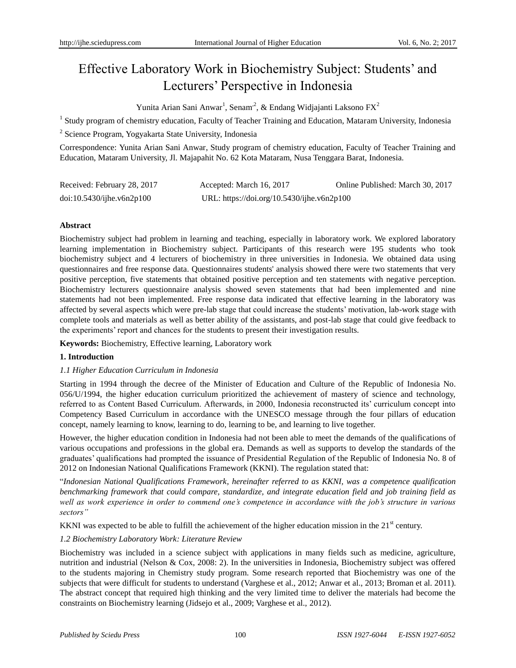# Effective Laboratory Work in Biochemistry Subject: Students' and Lecturers' Perspective in Indonesia

Yunita Arian Sani Anwar<sup>1</sup>, Senam<sup>2</sup>, & Endang Widjajanti Laksono FX<sup>2</sup>

<sup>1</sup> Study program of chemistry education, Faculty of Teacher Training and Education, Mataram University, Indonesia

<sup>2</sup> Science Program, Yogyakarta State University, Indonesia

Correspondence: Yunita Arian Sani Anwar, Study program of chemistry education, Faculty of Teacher Training and Education, Mataram University, Jl. Majapahit No. 62 Kota Mataram, Nusa Tenggara Barat, Indonesia.

| Received: February 28, 2017 | Accepted: March 16, 2017                   | Online Published: March 30, 2017 |
|-----------------------------|--------------------------------------------|----------------------------------|
| doi:10.5430/jhe.v6n2p100    | URL: https://doi.org/10.5430/ijhe.v6n2p100 |                                  |

# **Abstract**

Biochemistry subject had problem in learning and teaching, especially in laboratory work. We explored laboratory learning implementation in Biochemistry subject. Participants of this research were 195 students who took biochemistry subject and 4 lecturers of biochemistry in three universities in Indonesia. We obtained data using questionnaires and free response data. Questionnaires students' analysis showed there were two statements that very positive perception, five statements that obtained positive perception and ten statements with negative perception. Biochemistry lecturers questionnaire analysis showed seven statements that had been implemented and nine statements had not been implemented. Free response data indicated that effective learning in the laboratory was affected by several aspects which were pre-lab stage that could increase the students' motivation, lab-work stage with complete tools and materials as well as better ability of the assistants, and post-lab stage that could give feedback to the experiments' report and chances for the students to present their investigation results.

**Keywords:** Biochemistry, Effective learning, Laboratory work

# **1. Introduction**

# *1.1 Higher Education Curriculum in Indonesia*

Starting in 1994 through the decree of the Minister of Education and Culture of the Republic of Indonesia No. 056/U/1994, the higher education curriculum prioritized the achievement of mastery of science and technology, referred to as Content Based Curriculum. Afterwards, in 2000, Indonesia reconstructed its' curriculum concept into Competency Based Curriculum in accordance with the UNESCO message through the four pillars of education concept, namely learning to know, learning to do, learning to be, and learning to live together.

However, the higher education condition in Indonesia had not been able to meet the demands of the qualifications of various occupations and professions in the global era. Demands as well as supports to develop the standards of the graduates' qualifications had prompted the issuance of Presidential Regulation of the Republic of Indonesia No. 8 of 2012 on Indonesian National Qualifications Framework (KKNI). The regulation stated that:

"*Indonesian National Qualifications Framework, hereinafter referred to as KKNI, was a competence qualification benchmarking framework that could compare, standardize, and integrate education field and job training field as well as work experience in order to commend one's competence in accordance with the job's structure in various sectors"*

KKNI was expected to be able to fulfill the achievement of the higher education mission in the  $21<sup>st</sup>$  century.

# *1.2 Biochemistry Laboratory Work: Literature Review*

Biochemistry was included in a science subject with applications in many fields such as medicine, agriculture, nutrition and industrial (Nelson & Cox, 2008: 2). In the universities in Indonesia, Biochemistry subject was offered to the students majoring in Chemistry study program. Some research reported that Biochemistry was one of the subjects that were difficult for students to understand (Varghese et al., 2012; Anwar et al., 2013; Broman et al. 2011). The abstract concept that required high thinking and the very limited time to deliver the materials had become the constraints on Biochemistry learning (Jidsejo et al., 2009; Varghese et al., 2012).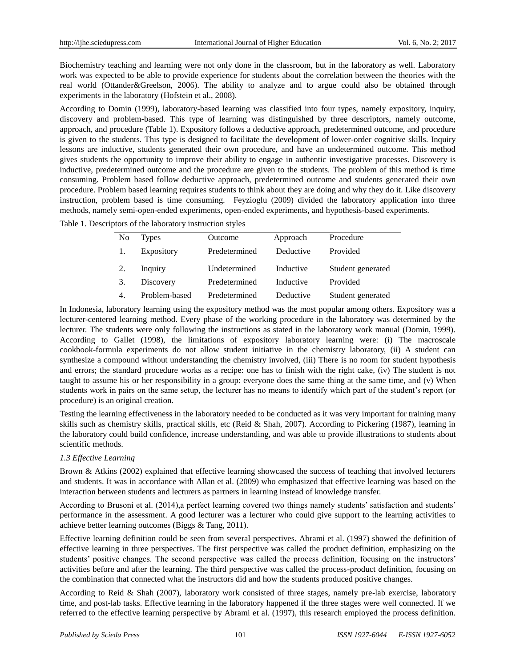Biochemistry teaching and learning were not only done in the classroom, but in the laboratory as well. Laboratory work was expected to be able to provide experience for students about the correlation between the theories with the real world (Ottander&Greelson, 2006). The ability to analyze and to argue could also be obtained through experiments in the laboratory (Hofstein et al., 2008).

According to Domin (1999), laboratory-based learning was classified into four types, namely expository, inquiry, discovery and problem-based. This type of learning was distinguished by three descriptors, namely outcome, approach, and procedure (Table 1). Expository follows a deductive approach, predetermined outcome, and procedure is given to the students. This type is designed to facilitate the development of lower-order cognitive skills. Inquiry lessons are inductive, students generated their own procedure, and have an undetermined outcome. This method gives students the opportunity to improve their ability to engage in authentic investigative processes. Discovery is inductive, predetermined outcome and the procedure are given to the students. The problem of this method is time consuming. Problem based follow deductive approach, predetermined outcome and students generated their own procedure. Problem based learning requires students to think about they are doing and why they do it. Like discovery instruction, problem based is time consuming. Feyzioglu (2009) divided the laboratory application into three methods, namely semi-open-ended experiments, open-ended experiments, and hypothesis-based experiments.

|  |  |  |  | Table 1. Descriptors of the laboratory instruction styles |  |
|--|--|--|--|-----------------------------------------------------------|--|
|--|--|--|--|-----------------------------------------------------------|--|

| No | Types         | Outcome       | Approach  | Procedure         |
|----|---------------|---------------|-----------|-------------------|
|    | Expository    | Predetermined | Deductive | Provided          |
|    | Inquiry       | Undetermined  | Inductive | Student generated |
| 3. | Discovery     | Predetermined | Inductive | Provided          |
|    | Problem-based | Predetermined | Deductive | Student generated |

In Indonesia, laboratory learning using the expository method was the most popular among others. Expository was a lecturer-centered learning method. Every phase of the working procedure in the laboratory was determined by the lecturer. The students were only following the instructions as stated in the laboratory work manual (Domin, 1999). According to Gallet (1998), the limitations of expository laboratory learning were: (i) The macroscale cookbook-formula experiments do not allow student initiative in the chemistry laboratory, (ii) A student can synthesize a compound without understanding the chemistry involved, (iii) There is no room for student hypothesis and errors; the standard procedure works as a recipe: one has to finish with the right cake, (iv) The student is not taught to assume his or her responsibility in a group: everyone does the same thing at the same time, and (v) When students work in pairs on the same setup, the lecturer has no means to identify which part of the student's report (or procedure) is an original creation.

Testing the learning effectiveness in the laboratory needed to be conducted as it was very important for training many skills such as chemistry skills, practical skills, etc (Reid & Shah, 2007). According to Pickering (1987), learning in the laboratory could build confidence, increase understanding, and was able to provide illustrations to students about scientific methods.

## *1.3 Effective Learning*

Brown & Atkins (2002) explained that effective learning showcased the success of teaching that involved lecturers and students. It was in accordance with Allan et al. (2009) who emphasized that effective learning was based on the interaction between students and lecturers as partners in learning instead of knowledge transfer.

According to Brusoni et al. (2014),a perfect learning covered two things namely students' satisfaction and students' performance in the assessment. A good lecturer was a lecturer who could give support to the learning activities to achieve better learning outcomes (Biggs & Tang, 2011).

Effective learning definition could be seen from several perspectives. Abrami et al. (1997) showed the definition of effective learning in three perspectives. The first perspective was called the product definition, emphasizing on the students' positive changes. The second perspective was called the process definition, focusing on the instructors' activities before and after the learning. The third perspective was called the process-product definition, focusing on the combination that connected what the instructors did and how the students produced positive changes.

According to Reid & Shah (2007), laboratory work consisted of three stages, namely pre-lab exercise, laboratory time, and post-lab tasks. Effective learning in the laboratory happened if the three stages were well connected. If we referred to the effective learning perspective by Abrami et al. (1997), this research employed the process definition.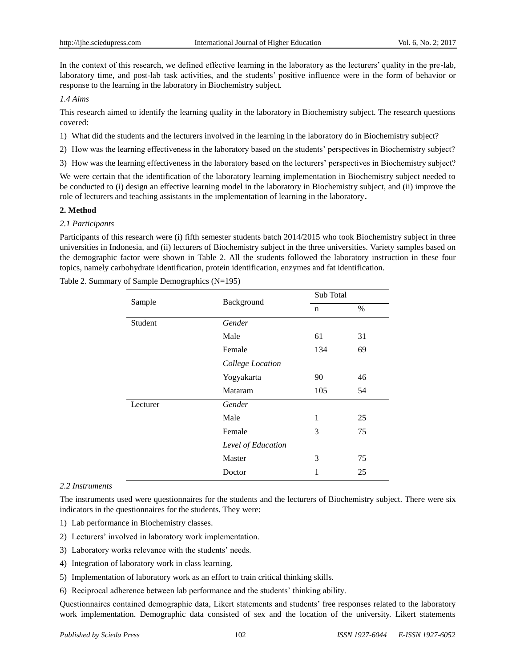In the context of this research, we defined effective learning in the laboratory as the lecturers' quality in the pre-lab, laboratory time, and post-lab task activities, and the students' positive influence were in the form of behavior or response to the learning in the laboratory in Biochemistry subject.

# *1.4 Aims*

This research aimed to identify the learning quality in the laboratory in Biochemistry subject. The research questions covered:

- 1) What did the students and the lecturers involved in the learning in the laboratory do in Biochemistry subject?
- 2) How was the learning effectiveness in the laboratory based on the students' perspectives in Biochemistry subject?
- 3) How was the learning effectiveness in the laboratory based on the lecturers' perspectives in Biochemistry subject?

We were certain that the identification of the laboratory learning implementation in Biochemistry subject needed to be conducted to (i) design an effective learning model in the laboratory in Biochemistry subject, and (ii) improve the role of lecturers and teaching assistants in the implementation of learning in the laboratory.

#### **2. Method**

#### *2.1 Participants*

Participants of this research were (i) fifth semester students batch 2014/2015 who took Biochemistry subject in three universities in Indonesia, and (ii) lecturers of Biochemistry subject in the three universities. Variety samples based on the demographic factor were shown in Table 2. All the students followed the laboratory instruction in these four topics, namely carbohydrate identification, protein identification, enzymes and fat identification.

Table 2. Summary of Sample Demographics (N=195)

| Sample   | Background         | Sub Total |      |  |
|----------|--------------------|-----------|------|--|
|          |                    | n         | $\%$ |  |
| Student  | Gender             |           |      |  |
|          | Male               | 61        | 31   |  |
|          | Female             | 134       | 69   |  |
|          | College Location   |           |      |  |
|          | Yogyakarta         | 90        | 46   |  |
|          | Mataram            | 105       | 54   |  |
| Lecturer | Gender             |           |      |  |
|          | Male               | 1         | 25   |  |
|          | Female             | 3         | 75   |  |
|          | Level of Education |           |      |  |
|          | Master             | 3         | 75   |  |
|          | Doctor             | 1         | 25   |  |

#### *2.2 Instruments*

The instruments used were questionnaires for the students and the lecturers of Biochemistry subject. There were six indicators in the questionnaires for the students. They were:

1) Lab performance in Biochemistry classes.

- 2) Lecturers' involved in laboratory work implementation.
- 3) Laboratory works relevance with the students' needs.
- 4) Integration of laboratory work in class learning.
- 5) Implementation of laboratory work as an effort to train critical thinking skills.
- 6) Reciprocal adherence between lab performance and the students' thinking ability.

Questionnaires contained demographic data, Likert statements and students' free responses related to the laboratory work implementation. Demographic data consisted of sex and the location of the university. Likert statements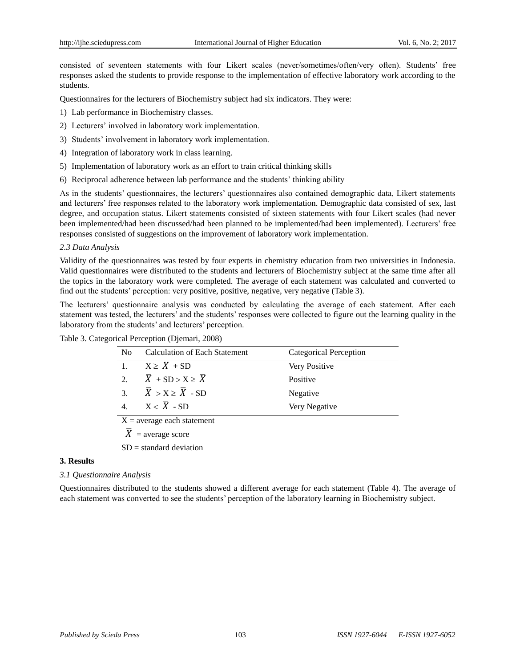consisted of seventeen statements with four Likert scales (never/sometimes/often/very often). Students' free responses asked the students to provide response to the implementation of effective laboratory work according to the students.

Questionnaires for the lecturers of Biochemistry subject had six indicators. They were:

- 1) Lab performance in Biochemistry classes.
- 2) Lecturers' involved in laboratory work implementation.
- 3) Students' involvement in laboratory work implementation.
- 4) Integration of laboratory work in class learning.
- 5) Implementation of laboratory work as an effort to train critical thinking skills
- 6) Reciprocal adherence between lab performance and the students' thinking ability

As in the students' questionnaires, the lecturers' questionnaires also contained demographic data, Likert statements and lecturers' free responses related to the laboratory work implementation. Demographic data consisted of sex, last degree, and occupation status. Likert statements consisted of sixteen statements with four Likert scales (had never been implemented/had been discussed/had been planned to be implemented/had been implemented). Lecturers' free responses consisted of suggestions on the improvement of laboratory work implementation.

#### *2.3 Data Analysis*

Validity of the questionnaires was tested by four experts in chemistry education from two universities in Indonesia. Valid questionnaires were distributed to the students and lecturers of Biochemistry subject at the same time after all the topics in the laboratory work were completed. The average of each statement was calculated and converted to find out the students' perception: very positive, positive, negative, very negative (Table 3).

The lecturers' questionnaire analysis was conducted by calculating the average of each statement. After each statement was tested, the lecturers' and the students' responses were collected to figure out the learning quality in the laboratory from the students' and lecturers' perception.

| Table 3. Categorical Perception (Djemari, 2008) |
|-------------------------------------------------|
|                                                 |

| N <sub>0</sub> | <b>Calculation of Each Statement</b>        | Categorical Perception |  |  |  |  |
|----------------|---------------------------------------------|------------------------|--|--|--|--|
|                | $X \geq X + SD$                             | Very Positive          |  |  |  |  |
| $2^{+}$        | $\overline{X}$ + SD > X $\geq \overline{X}$ | Positive               |  |  |  |  |
| $\mathcal{R}$  | $\overline{X}$ > X $\geq \overline{X}$ - SD | Negative               |  |  |  |  |
| 4 <sup>1</sup> | $X < \overline{X}$ - SD                     | Very Negative          |  |  |  |  |
|                | $X = average each statement$                |                        |  |  |  |  |

 $\overline{X}$  = average score

 $SD = standard deviation$ 

#### **3. Results**

#### *3.1 Questionnaire Analysis*

Questionnaires distributed to the students showed a different average for each statement (Table 4). The average of each statement was converted to see the students' perception of the laboratory learning in Biochemistry subject.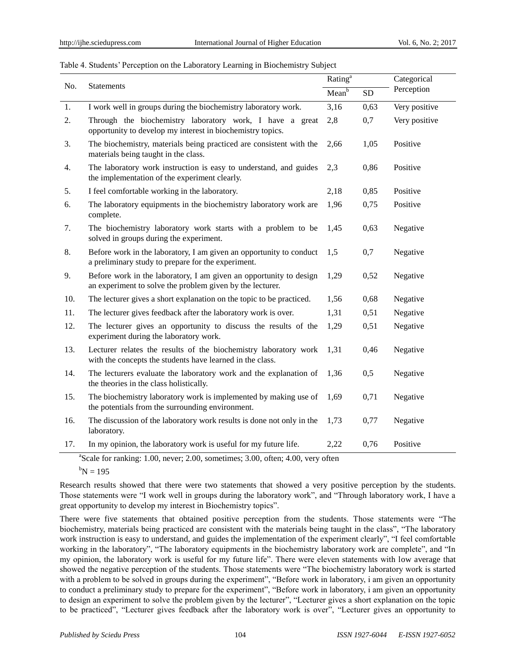## Table 4. Students' Perception on the Laboratory Learning in Biochemistry Subject

| No. | Statements                                                                                                                      | Rating <sup>a</sup> |           | Categorical   |
|-----|---------------------------------------------------------------------------------------------------------------------------------|---------------------|-----------|---------------|
|     |                                                                                                                                 | Mean <sup>b</sup>   | <b>SD</b> | Perception    |
| 1.  | I work well in groups during the biochemistry laboratory work.                                                                  | 3,16                | 0,63      | Very positive |
| 2.  | Through the biochemistry laboratory work, I have a great<br>opportunity to develop my interest in biochemistry topics.          | 2,8                 | 0,7       | Very positive |
| 3.  | The biochemistry, materials being practiced are consistent with the<br>materials being taught in the class.                     | 2,66                | 1,05      | Positive      |
| 4.  | The laboratory work instruction is easy to understand, and guides<br>the implementation of the experiment clearly.              | 2,3                 | 0,86      | Positive      |
| 5.  | I feel comfortable working in the laboratory.                                                                                   | 2,18                | 0,85      | Positive      |
| 6.  | The laboratory equipments in the biochemistry laboratory work are<br>complete.                                                  | 1,96                | 0,75      | Positive      |
| 7.  | The biochemistry laboratory work starts with a problem to be<br>solved in groups during the experiment.                         | 1,45                | 0,63      | Negative      |
| 8.  | Before work in the laboratory, I am given an opportunity to conduct<br>a preliminary study to prepare for the experiment.       | 1,5                 | 0,7       | Negative      |
| 9.  | Before work in the laboratory, I am given an opportunity to design<br>an experiment to solve the problem given by the lecturer. | 1,29                | 0,52      | Negative      |
| 10. | The lecturer gives a short explanation on the topic to be practiced.                                                            | 1,56                | 0,68      | Negative      |
| 11. | The lecturer gives feedback after the laboratory work is over.                                                                  | 1,31                | 0,51      | Negative      |
| 12. | The lecturer gives an opportunity to discuss the results of the<br>experiment during the laboratory work.                       | 1,29                | 0,51      | Negative      |
| 13. | Lecturer relates the results of the biochemistry laboratory work<br>with the concepts the students have learned in the class.   | 1,31                | 0,46      | Negative      |
| 14. | The lecturers evaluate the laboratory work and the explanation of<br>the theories in the class holistically.                    | 1,36                | 0,5       | Negative      |
| 15. | The biochemistry laboratory work is implemented by making use of<br>the potentials from the surrounding environment.            | 1,69                | 0,71      | Negative      |
| 16. | The discussion of the laboratory work results is done not only in the<br>laboratory.                                            | 1,73                | 0,77      | Negative      |
| 17. | In my opinion, the laboratory work is useful for my future life.                                                                | 2,22                | 0,76      | Positive      |

<sup>a</sup>Scale for ranking: 1.00, never; 2.00, sometimes; 3.00, often; 4.00, very often

 ${}^{b}N = 195$ 

Research results showed that there were two statements that showed a very positive perception by the students. Those statements were "I work well in groups during the laboratory work", and "Through laboratory work, I have a great opportunity to develop my interest in Biochemistry topics".

There were five statements that obtained positive perception from the students. Those statements were "The biochemistry, materials being practiced are consistent with the materials being taught in the class", "The laboratory work instruction is easy to understand, and guides the implementation of the experiment clearly", "I feel comfortable working in the laboratory", "The laboratory equipments in the biochemistry laboratory work are complete", and "In my opinion, the laboratory work is useful for my future life". There were eleven statements with low average that showed the negative perception of the students. Those statements were "The biochemistry laboratory work is started with a problem to be solved in groups during the experiment", "Before work in laboratory, i am given an opportunity to conduct a preliminary study to prepare for the experiment", "Before work in laboratory, i am given an opportunity to design an experiment to solve the problem given by the lecturer", "Lecturer gives a short explanation on the topic to be practiced", "Lecturer gives feedback after the laboratory work is over", "Lecturer gives an opportunity to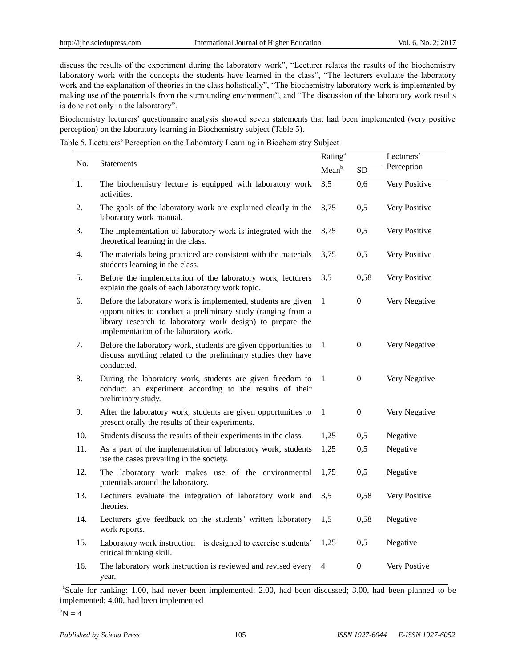discuss the results of the experiment during the laboratory work", "Lecturer relates the results of the biochemistry laboratory work with the concepts the students have learned in the class", "The lecturers evaluate the laboratory work and the explanation of theories in the class holistically", "The biochemistry laboratory work is implemented by making use of the potentials from the surrounding environment", and "The discussion of the laboratory work results is done not only in the laboratory".

Biochemistry lecturers' questionnaire analysis showed seven statements that had been implemented (very positive perception) on the laboratory learning in Biochemistry subject (Table 5).

Table 5. Lecturers' Perception on the Laboratory Learning in Biochemistry Subject

| No. |                                                                                                                                                                                                                                       | Rating <sup>a</sup> |                  | Lecturers'    |  |
|-----|---------------------------------------------------------------------------------------------------------------------------------------------------------------------------------------------------------------------------------------|---------------------|------------------|---------------|--|
|     | <b>Statements</b>                                                                                                                                                                                                                     |                     | <b>SD</b>        | Perception    |  |
| 1.  | The biochemistry lecture is equipped with laboratory work<br>activities.                                                                                                                                                              | 3,5                 | 0,6              | Very Positive |  |
| 2.  | The goals of the laboratory work are explained clearly in the<br>laboratory work manual.                                                                                                                                              | 3,75                | 0,5              | Very Positive |  |
| 3.  | The implementation of laboratory work is integrated with the<br>theoretical learning in the class.                                                                                                                                    | 3,75                | 0,5              | Very Positive |  |
| 4.  | The materials being practiced are consistent with the materials<br>students learning in the class.                                                                                                                                    | 3,75                | 0,5              | Very Positive |  |
| 5.  | Before the implementation of the laboratory work, lecturers<br>explain the goals of each laboratory work topic.                                                                                                                       | 3,5                 | 0,58             | Very Positive |  |
| 6.  | Before the laboratory work is implemented, students are given<br>opportunities to conduct a preliminary study (ranging from a<br>library research to laboratory work design) to prepare the<br>implementation of the laboratory work. | 1                   | $\boldsymbol{0}$ | Very Negative |  |
| 7.  | Before the laboratory work, students are given opportunities to<br>discuss anything related to the preliminary studies they have<br>conducted.                                                                                        | 1                   | $\boldsymbol{0}$ | Very Negative |  |
| 8.  | During the laboratory work, students are given freedom to<br>conduct an experiment according to the results of their<br>preliminary study.                                                                                            | 1                   | $\boldsymbol{0}$ | Very Negative |  |
| 9.  | After the laboratory work, students are given opportunities to<br>present orally the results of their experiments.                                                                                                                    | $\mathbf{1}$        | $\boldsymbol{0}$ | Very Negative |  |
| 10. | Students discuss the results of their experiments in the class.                                                                                                                                                                       | 1,25                | 0,5              | Negative      |  |
| 11. | As a part of the implementation of laboratory work, students<br>use the cases prevailing in the society.                                                                                                                              | 1,25                | 0,5              | Negative      |  |
| 12. | The laboratory work makes use of the environmental<br>potentials around the laboratory.                                                                                                                                               | 1,75                | 0,5              | Negative      |  |
| 13. | Lecturers evaluate the integration of laboratory work and<br>theories.                                                                                                                                                                | 3,5                 | 0,58             | Very Positive |  |
| 14. | Lecturers give feedback on the students' written laboratory<br>work reports.                                                                                                                                                          | 1,5                 | 0,58             | Negative      |  |
| 15. | Laboratory work instruction is designed to exercise students'<br>critical thinking skill.                                                                                                                                             | 1,25                | 0,5              | Negative      |  |
| 16. | The laboratory work instruction is reviewed and revised every<br>year.                                                                                                                                                                | $\overline{4}$      | $\boldsymbol{0}$ | Very Postive  |  |

<sup>a</sup>Scale for ranking: 1.00, had never been implemented; 2.00, had been discussed; 3.00, had been planned to be implemented; 4.00, had been implemented

 $b_N = 4$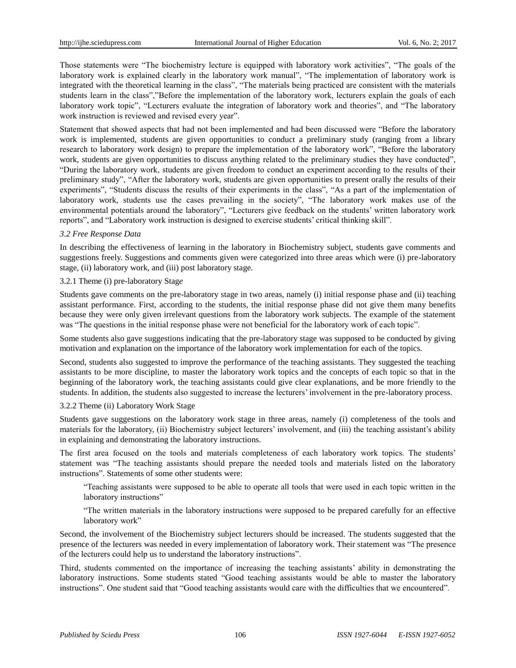Those statements were "The biochemistry lecture is equipped with laboratory work activities", "The goals of the laboratory work is explained clearly in the laboratory work manual", "The implementation of laboratory work is integrated with the theoretical learning in the class", "The materials being practiced are consistent with the materials students learn in the class","Before the implementation of the laboratory work, lecturers explain the goals of each laboratory work topic", "Lecturers evaluate the integration of laboratory work and theories", and "The laboratory work instruction is reviewed and revised every year".

Statement that showed aspects that had not been implemented and had been discussed were "Before the laboratory work is implemented, students are given opportunities to conduct a preliminary study (ranging from a library research to laboratory work design) to prepare the implementation of the laboratory work", "Before the laboratory work, students are given opportunities to discuss anything related to the preliminary studies they have conducted", "During the laboratory work, students are given freedom to conduct an experiment according to the results of their preliminary study", "After the laboratory work, students are given opportunities to present orally the results of their experiments", "Students discuss the results of their experiments in the class", "As a part of the implementation of laboratory work, students use the cases prevailing in the society", "The laboratory work makes use of the environmental potentials around the laboratory", "Lecturers give feedback on the students' written laboratory work reports", and "Laboratory work instruction is designed to exercise students' critical thinking skill".

## *3.2 Free Response Data*

In describing the effectiveness of learning in the laboratory in Biochemistry subject, students gave comments and suggestions freely. Suggestions and comments given were categorized into three areas which were (i) pre-laboratory stage, (ii) laboratory work, and (iii) post laboratory stage.

## 3.2.1 Theme (i) pre-laboratory Stag*e*

Students gave comments on the pre-laboratory stage in two areas, namely (i) initial response phase and (ii) teaching assistant performance. First, according to the students, the initial response phase did not give them many benefits because they were only given irrelevant questions from the laboratory work subjects. The example of the statement was "The questions in the initial response phase were not beneficial for the laboratory work of each topic".

Some students also gave suggestions indicating that the pre-laboratory stage was supposed to be conducted by giving motivation and explanation on the importance of the laboratory work implementation for each of the topics.

Second, students also suggested to improve the performance of the teaching assistants. They suggested the teaching assistants to be more discipline, to master the laboratory work topics and the concepts of each topic so that in the beginning of the laboratory work, the teaching assistants could give clear explanations, and be more friendly to the students. In addition, the students also suggested to increase the lecturers' involvement in the pre-laboratory process.

# 3.2.2 Theme (ii) Laboratory Work Stage

Students gave suggestions on the laboratory work stage in three areas, namely (i) completeness of the tools and materials for the laboratory, (ii) Biochemistry subject lecturers' involvement, and (iii) the teaching assistant's ability in explaining and demonstrating the laboratory instructions.

The first area focused on the tools and materials completeness of each laboratory work topics. The students' statement was "The teaching assistants should prepare the needed tools and materials listed on the laboratory instructions". Statements of some other students were:

"Teaching assistants were supposed to be able to operate all tools that were used in each topic written in the laboratory instructions"

"The written materials in the laboratory instructions were supposed to be prepared carefully for an effective laboratory work"

Second, the involvement of the Biochemistry subject lecturers should be increased. The students suggested that the presence of the lecturers was needed in every implementation of laboratory work. Their statement was "The presence of the lecturers could help us to understand the laboratory instructions".

Third, students commented on the importance of increasing the teaching assistants' ability in demonstrating the laboratory instructions. Some students stated "Good teaching assistants would be able to master the laboratory instructions". One student said that "Good teaching assistants would care with the difficulties that we encountered".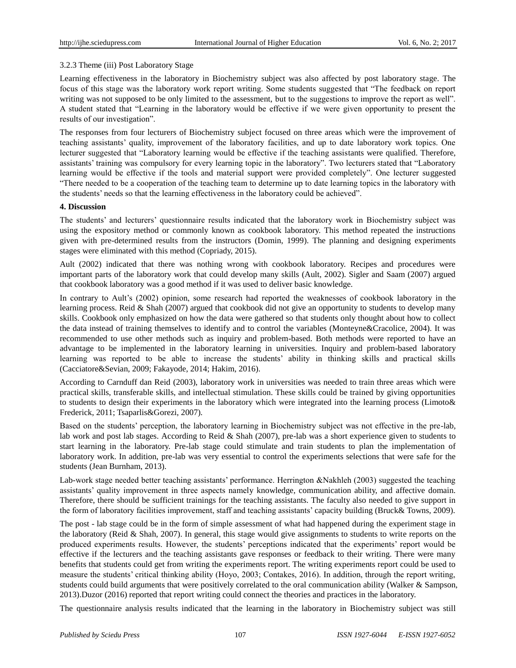# 3.2.3 Theme (iii) Post Laboratory Stage

Learning effectiveness in the laboratory in Biochemistry subject was also affected by post laboratory stage. The focus of this stage was the laboratory work report writing. Some students suggested that "The feedback on report writing was not supposed to be only limited to the assessment, but to the suggestions to improve the report as well". A student stated that "Learning in the laboratory would be effective if we were given opportunity to present the results of our investigation".

The responses from four lecturers of Biochemistry subject focused on three areas which were the improvement of teaching assistants' quality, improvement of the laboratory facilities, and up to date laboratory work topics. One lecturer suggested that "Laboratory learning would be effective if the teaching assistants were qualified. Therefore, assistants' training was compulsory for every learning topic in the laboratory". Two lecturers stated that "Laboratory learning would be effective if the tools and material support were provided completely". One lecturer suggested "There needed to be a cooperation of the teaching team to determine up to date learning topics in the laboratory with the students' needs so that the learning effectiveness in the laboratory could be achieved".

# **4. Discussion**

The students' and lecturers' questionnaire results indicated that the laboratory work in Biochemistry subject was using the expository method or commonly known as cookbook laboratory. This method repeated the instructions given with pre-determined results from the instructors (Domin, 1999). The planning and designing experiments stages were eliminated with this method (Copriady, 2015).

Ault (2002) indicated that there was nothing wrong with cookbook laboratory. Recipes and procedures were important parts of the laboratory work that could develop many skills (Ault, 2002). Sigler and Saam (2007) argued that cookbook laboratory was a good method if it was used to deliver basic knowledge.

In contrary to Ault's (2002) opinion, some research had reported the weaknesses of cookbook laboratory in the learning process. Reid & Shah (2007) argued that cookbook did not give an opportunity to students to develop many skills. Cookbook only emphasized on how the data were gathered so that students only thought about how to collect the data instead of training themselves to identify and to control the variables (Monteyne&Cracolice, 2004). It was recommended to use other methods such as inquiry and problem-based. Both methods were reported to have an advantage to be implemented in the laboratory learning in universities. Inquiry and problem-based laboratory learning was reported to be able to increase the students' ability in thinking skills and practical skills (Cacciatore&Sevian, 2009; Fakayode, 2014; Hakim, 2016).

According to Carnduff dan Reid (2003), laboratory work in universities was needed to train three areas which were practical skills, transferable skills, and intellectual stimulation. These skills could be trained by giving opportunities to students to design their experiments in the laboratory which were integrated into the learning process (Limoto& Frederick, 2011; Tsaparlis&Gorezi, 2007).

Based on the students' perception, the laboratory learning in Biochemistry subject was not effective in the pre-lab, lab work and post lab stages. According to Reid & Shah (2007), pre-lab was a short experience given to students to start learning in the laboratory. Pre-lab stage could stimulate and train students to plan the implementation of laboratory work. In addition, pre-lab was very essential to control the experiments selections that were safe for the students (Jean Burnham, 2013).

Lab-work stage needed better teaching assistants' performance. Herrington &Nakhleh (2003) suggested the teaching assistants' quality improvement in three aspects namely knowledge, communication ability, and affective domain. Therefore, there should be sufficient trainings for the teaching assistants. The faculty also needed to give support in the form of laboratory facilities improvement, staff and teaching assistants' capacity building (Bruck& Towns, 2009).

The post - lab stage could be in the form of simple assessment of what had happened during the experiment stage in the laboratory (Reid & Shah, 2007). In general, this stage would give assignments to students to write reports on the produced experiments results. However, the students' perceptions indicated that the experiments' report would be effective if the lecturers and the teaching assistants gave responses or feedback to their writing. There were many benefits that students could get from writing the experiments report. The writing experiments report could be used to measure the students' critical thinking ability (Hoyo, 2003; Contakes, 2016). In addition, through the report writing, students could build arguments that were positively correlated to the oral communication ability (Walker & Sampson, 2013).Duzor (2016) reported that report writing could connect the theories and practices in the laboratory.

The questionnaire analysis results indicated that the learning in the laboratory in Biochemistry subject was still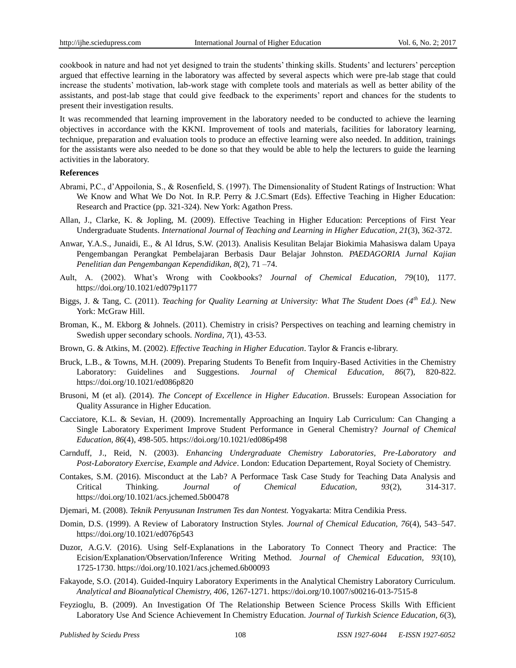cookbook in nature and had not yet designed to train the students' thinking skills. Students' and lecturers' perception argued that effective learning in the laboratory was affected by several aspects which were pre-lab stage that could increase the students' motivation, lab-work stage with complete tools and materials as well as better ability of the assistants, and post-lab stage that could give feedback to the experiments' report and chances for the students to present their investigation results.

It was recommended that learning improvement in the laboratory needed to be conducted to achieve the learning objectives in accordance with the KKNI. Improvement of tools and materials, facilities for laboratory learning, technique, preparation and evaluation tools to produce an effective learning were also needed. In addition, trainings for the assistants were also needed to be done so that they would be able to help the lecturers to guide the learning activities in the laboratory.

## **References**

- Abrami, P.C., d'Appoilonia, S., & Rosenfield, S. (1997). The Dimensionality of Student Ratings of Instruction: What We Know and What We Do Not. In R.P. Perry & J.C.Smart (Eds). Effective Teaching in Higher Education: Research and Practice (pp. 321-324). New York: Agathon Press.
- Allan, J., Clarke, K. & Jopling, M. (2009). Effective Teaching in Higher Education: Perceptions of First Year Undergraduate Students. *International Journal of Teaching and Learning in Higher Education, 21*(3), 362-372.
- Anwar, Y.A.S., Junaidi, E., & Al Idrus, S.W. (2013). Analisis Kesulitan Belajar Biokimia Mahasiswa dalam Upaya Pengembangan Perangkat Pembelajaran Berbasis Daur Belajar Johnston. *PAEDAGORIA Jurnal Kajian Penelitian dan Pengembangan Kependidikan, 8*(2), 71 –74.
- Ault, A. (2002). What's Wrong with Cookbooks? *Journal of Chemical Education, 79*(10), 1177. <https://doi.org/10.1021/ed079p1177>
- Biggs, J. & Tang, C. (2011). *Teaching for Quality Learning at University: What The Student Does (4th Ed.)*. New York: McGraw Hill.
- Broman, K., M. Ekborg & Johnels. (2011). Chemistry in crisis? Perspectives on teaching and learning chemistry in Swedish upper secondary schools. *Nordina, 7*(1), 43-53.
- Brown, G. & Atkins, M. (2002). *Effective Teaching in Higher Education*. Taylor & Francis e-library.
- Bruck, L.B., & Towns, M.H. (2009). Preparing Students To Benefit from Inquiry-Based Activities in the Chemistry Laboratory: Guidelines and Suggestions. *Journal of Chemical Education, 86*(7), 820-822. <https://doi.org/10.1021/ed086p820>
- Brusoni, M (et al). (2014). *The Concept of Excellence in Higher Education*. Brussels: European Association for Quality Assurance in Higher Education.
- Cacciatore, K.L. & Sevian, H. (2009). Incrementally Approaching an Inquiry Lab Curriculum: Can Changing a Single Laboratory Experiment Improve Student Performance in General Chemistry? *Journal of Chemical Education, 86*(4), 498-505. <https://doi.org/10.1021/ed086p498>
- Carnduff, J., Reid, N. (2003). *Enhancing Undergraduate Chemistry Laboratories, Pre-Laboratory and Post-Laboratory Exercise, Example and Advice*. London: Education Departement, Royal Society of Chemistry.
- Contakes, S.M. (2016). Misconduct at the Lab? A Performace Task Case Study for Teaching Data Analysis and Critical Thinking. *Journal of Chemical Education, 93*(2), 314-317. <https://doi.org/10.1021/acs.jchemed.5b00478>
- Djemari, M. (2008). *Teknik Penyusunan Instrumen Tes dan Nontest.* Yogyakarta: Mitra Cendikia Press.
- Domin, D.S. (1999). A Review of Laboratory Instruction Styles. *Journal of Chemical Education, 76*(4), 543–547. <https://doi.org/10.1021/ed076p543>
- Duzor, A.G.V. (2016). Using Self-Explanations in the Laboratory To Connect Theory and Practice: The Ecision/Explanation/Observation/Inference Writing Method. *Journal of Chemical Education, 93*(10), 1725-1730. <https://doi.org/10.1021/acs.jchemed.6b00093>
- Fakayode, S.O. (2014). Guided-Inquiry Laboratory Experiments in the Analytical Chemistry Laboratory Curriculum. *Analytical and Bioanalytical Chemistry, 406*, 1267-1271. <https://doi.org/10.1007/s00216-013-7515-8>
- Feyzioglu, B. (2009). An Investigation Of The Relationship Between Science Process Skills With Efficient Laboratory Use And Science Achievement In Chemistry Education. *Journal of Turkish Science Education, 6*(3),